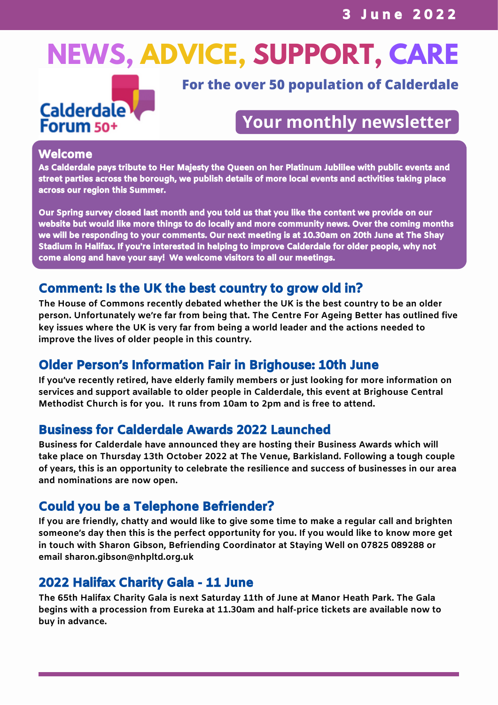# **NEWS, ADVICE, SUPPORT, CARE**



#### **For the over 50 population of Calderdale**

### **Your monthly newsletter**

#### Welcome

As Calderdale pays tribute to Her Majesty the Queen on her Platinum Jublilee with public events and street parties across the borough, we publish details of more local events and activities taking place across our region this Summer.

Our Spring survey closed last month and you told us that you like the content we provide on our website but would like more things to do locally and more community news. Over the coming months we will be responding to your comments. Our next meeting is at 10.30am on 20th June at The Shay Stadium in Halifax. If you're interested in helping to improve Calderdale for older people, why not come along and have your say! We welcome visitors to all our meetings.

#### Comment: Is the UK the best country to grow old in?

**The House of Commons recently debated whether the UK is the best country to be an older person. Unfortunately we're far from being that. The Centre For Ageing Better has outlined five key issues where the UK is very far from being a world leader and the actions needed to improve the lives of older people in this country.**

#### Older Person's Information Fair in Brighouse: 10th June

**If you've recently retired, have elderly family members or just looking for more information on services and support available to older people in Calderdale, this event at Brighouse Central Methodist Church is for you. It runs from 10am to 2pm and is free to attend.**

#### Business for Calderdale Awards 2022 Launched

**Business for Calderdale have announced they are hosting their Business Awards which will take place on Thursday 13th October 2022 at The Venue, Barkisland. Following a tough couple of years, this is an opportunity to celebrate the resilience and success of businesses in our area and nominations are now open.**

#### Could you be a Telephone Befriender?

If you are friendly, chatty and would like to give some time to make a regular call and brighten **someone's day then this is the perfect opportunity for you. If you would like to know more get in touch with Sharon Gibson, Befriending Coordinator at Staying Well on 07825 089288 or email sharon.gibson@nhpltd.org.uk**

#### 2022 Halifax Charity Gala - 11 June

**The 65th Halifax Charity Gala is next Saturday 11th of June at Manor Heath Park. The Gala begins with a procession from Eureka at 11.30am and half-price tickets are available now to buy in advance.**